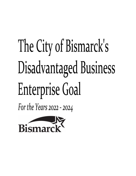# The City of Bismarck's Disadvantaged Business Enterprise Goal

For the Years 2022 - 2024

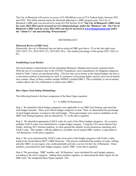The City of Bismarck will receive in excess of \$1,500,000 per year in FTA Federal funds, between 2022 and 2024. This dollar amount meets the threshold adhering to a DBE program goal. The City of Bismarck's DBE goal was arrived at by using 49 CFR Section 26.45. **The City of Bismarck's DBE Goal for years 2022-2024 can be accessed at www.bismarcknd.gov under the "Business" tab. The City of Bismarck's DBE Goal for years 2022-2024 can also be accessed at [www.bismantransit.com](http://www.bismantransit.com/) under the "About Us" tab and selecting "Procurement."**

# METHODOLOGY

### *Historical Review of DBE Goal:*

Historically, the city of Bismarck has not had an achieved DBE goal above .2% in the last eight years (2013-2015-.2%, 2016-2018-.2%, 2019-2021-0%). The median percentage of this group (2013–2021) is  $0\%$ .

### *Establishing Local Market:*

Our local market is determined to be the immediate Bismarck, Mandan and Lincoln corporate limits. With the rise of e-commerce due to the COVID-19 pandemic, most expenditures for budgeted categories listed in Table 1 below are purchased online. This not only saves money in the limited budget, but also is a convenient method of purchasing for staff. E-commerce is becoming highly used by more out-of-market area vendors. Many of these vendors include NDDOT certified DBE's. This availability to out-of-market vendors allows the City of Bismarck to utilize more DBE's.

# *Base Figure Goal Setting Methodology:*

The following format is the base component of the Base Figure equation:

#### $X = \%$  (DBE/All Businesses)

Step 1: We identified which budget categories were applicable to our DBE Goal Setting, and noted the total budget amounts. There were fifteen budget categories in total. Then, we determined the percentage of each budget amount, in respect to the total budget. These percentages were used as multipliers in the DBE Goal Setting Equation, and are denoted by '%' in the above equation.

Step 2: We identified appropriate NAICS codes for each of the fifteen budget categories. On occasion, multiple NAICS codes were identified for a single budget category. Using the US Census Bureau Fact Finder, utilizing 2017 business patterns, we then queried the number of area businesses matching each NAICS code. This number, with the addition to available out-of-market DBE vendors, is equivalent to 'All Businesses' in the above equation.

Step 3: We cross-referenced the NAICS codes from each of the budget categories with NAICs codes listed in the North Dakota DOT's DBE Directory. This process established the number of ready, willing, and able DBE's in our region, who could potentially provide a service for the City of Bismarck. These numbers, ascertained for each budget category, match 'DBE' in the above equation.

Step 4: The percentage, 'DBE' number, and 'All Business' were calculated for each budget category, according to the above equation. Adding these numbers together, we determined the Base Figure for the DBE Goal. The unadjusted Base Figure equaled .10%.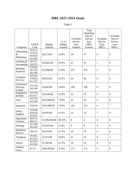# *DBE 2021-2024 Goals*

Table 1

|                                   |                                         |                |               |                      | Total<br>(Including |                      |                    |
|-----------------------------------|-----------------------------------------|----------------|---------------|----------------------|---------------------|----------------------|--------------------|
|                                   |                                         |                |               |                      | Out-of-             |                      | Available          |
|                                   |                                         |                | $%$ of        | Available<br>Service | Service<br>Area     | Available<br>Service | Out-of-<br>Service |
|                                   | <b>NAICS</b>                            | <b>Budget</b>  | <b>Budget</b> | Area                 | DBE)                | Area                 | Area               |
| Categories                        | Code                                    | Amount         | Amount        | Vendors              | Vendors             | DBE's                | DBE's              |
| Advertising<br>&<br>Marketing     | 323113,<br>541613,<br>541810,<br>541820 | \$8,214.00     | 0.20%         | 39                   | 47                  | $\boldsymbol{0}$     | 8                  |
| Auditing &<br>Accounting          | 541211,<br>541213                       | \$23,062.00    | 0.55%         | 47                   | 47                  | $\mathbf{1}$         | $\boldsymbol{0}$   |
| Building<br>Expenses              | 238220,<br>561730,<br>561790            | \$15,000.00    | 0.36%         | 223                  | 223                 | $\overline{2}$       | $\boldsymbol{0}$   |
| Computer<br>Services              | 443142,<br>518210,<br>811212            | \$9,822.00     | 0.23%         | 44                   | 46                  | $\boldsymbol{0}$     | $\overline{2}$     |
| Contracted<br>Services<br>(Legal) | 541110,<br>541199                       | \$3,605.00     | 0.09%         | 100                  | 100                 | $\boldsymbol{0}$     | $\boldsymbol{0}$   |
| Equipment<br>& Parts              | 423120,<br>811411                       | \$10,300.00    | 0.25%         | 52                   | 52                  | $\boldsymbol{0}$     | $\boldsymbol{0}$   |
| Fuel                              | 447110,<br>447190                       | \$335,000.00   | 7.99%         | 42                   | 42                  | $\boldsymbol{0}$     | $\boldsymbol{0}$   |
| Insurance                         | 524210                                  | \$165,000.00   | 3.93%         | 142                  | 143                 | $\boldsymbol{0}$     | $\mathbf{1}$       |
| Office<br>Supplies                | 322230,<br>424120,<br>453210            | \$4,893.00     | 0.12%         | 16                   | 16                  | 1                    | $\boldsymbol{0}$   |
| Operations<br>Contract            | 485111,<br>485113                       | \$3,390,068.00 | 80.83%        | $\overline{4}$       | $\overline{4}$      | $\boldsymbol{0}$     | $\boldsymbol{0}$   |
| Printing                          | 511199,<br>561439                       | \$14,910.00    | 0.36%         | 9                    | 9                   | $\boldsymbol{0}$     | $\boldsymbol{0}$   |
| Sanitation<br>Service             | 562119                                  | \$4,434.00     | 0.11%         | 10                   | 10                  | $\boldsymbol{0}$     | $\boldsymbol{0}$   |
| Telephone                         | 561421,<br>811213                       | \$1,913.00     | 0.05%         | 21                   | 22                  | $\boldsymbol{0}$     | $\mathbf{1}$       |
| Travel                            | 561510,<br>561599                       | \$7,200.00     | 0.17%         | 10                   | 10                  | $\boldsymbol{0}$     | $\boldsymbol{0}$   |
| Vehicle<br>Costs                  | 81111                                   | \$200,850.00   | 4.79%         | 113                  | 113                 | $\boldsymbol{0}$     | $\mathbf{0}$       |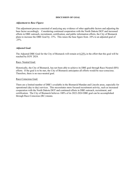#### **DISCUSSION OF GOAL**

## *Adjustment to Base Figure:*

This adjustment process consisted of analyzing any evidence of other applicable factors and adjusting the base factor accordingly. Considering continued cooperation with the North Dakota DOT and increased efforts in DBE outreach, recruitment, certification, and public information efforts, the City of Bismarck plans to increase the DBE Goal by .15%. This raises the base figure from .10% to an adjusted goal of .25%.

# *Adjusted Goal:*

The Adjusted DBE Goal for the City of Bismarck will remain at 0.25% in the effort that this goal will be reached by EOY 2024.

### Race- Neutral Goal:

Historically, the City of Bismarck, has not been able to achieve its DBE goal through Race-Neutral (RN) efforts. If the goal is to be met, the City of Bismarck anticipates all efforts would be race-conscious. Therefore, there is no race-neutral goal.

#### Race-Conscious Goal:

There are a limited number of DBE's available in the Bismarck/Mandan and Lincoln areas, especially for operational (day to day) services. This necessitates more focused recruitment activity, such as increased cooperation with the North Dakota DOT and continued efforts in DBE outreach, recruitment, and certification. The City of Bismarck believes 100% of its 2022-2024 DBE goal can be accomplished through Race-Conscious (RC) means.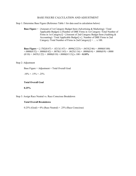# BASE FIGURE CALCULATION AND ADJUSTMENT

Step 1: Determine Base Figure (Reference Table 1 for data used in calculation below)

**Base Figure** = [Amount of 1st Category Budget Item (Advertising & Marketing) / Total Applicable Budget] x [Number of DBE Firms in 1st Category /Total Number of Firms in 1st Category)] + [Amount of 2nd Category Budget Item (Auditing  $\&$ Accounting) / Total Applicable Budget] x [. Number of DBE Firms in 2nd Category /Total Number of Firms in 2nd Category)] + … x 100.

**Base Figure** = [.1702(8/47) + .0213(1/47) + .0090(2/223) + .0435(2/46) + .0000(0/100)  $+.0000(0/52) + .0000(0/42) + .0070(1/143) + .0625(1/16) + .0000(0/4) + .0000(0/9) + .0000$  $(0/10) + .0455(1/22) + .0000(0/10) + .0000(0/113)$  x  $100 = 0.10\%$ 

## Step 2: Adjustment

Base Figure + Adjustment = Total Overall Goal

 $.10\% + .15\% = .25\%$ 

#### **Total Overall Goal**

**0.25%** 

Step 3: Assign Race Neutral vs. Race Conscious Breakdown

#### **Total Overall Breakdown**

 $0.25\%$  (Goal) =  $0\%$  (Race Neutral) + .25% (Race Conscious)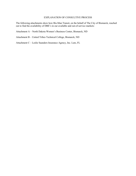# EXPLANATION OF CONSULTIVE PROCESS

The following attachments show how Bis-Man Transit, on the behalf of The City of Bismarck, reached out to find the availability of DBE's in our available and out-of-service markets:

Attachment A – North Dakota Women's Business Center, Bismarck, ND

Attachment B – United Tribes Technical College, Bismarck, ND

Attachment C – Leslie Saunders Insurance Agency, Inc. Lutz, FL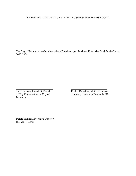# YEARS 2022-2024 DISADVANTAGED BUSINESS ENTERPRISE GOAL

The City of Bismarck hereby adopts these Disadvantaged Business Enterprise Goal for the Years 2022-2024.

of City Commissioners, City of Bismarck

 $\overline{\phantom{a}}$  , and the contribution of the contribution of  $\overline{\phantom{a}}$  , and  $\overline{\phantom{a}}$  , and  $\overline{\phantom{a}}$  , and  $\overline{\phantom{a}}$ Steve Bakken, President, Board<br>
of City Commissioners, City of Director, Bismarck-Mandan MPO

Deidre Hughes, Executive Director, Bis-Man Transit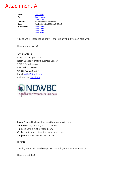# Attachment A

| From:               | <b>Katie Schulz</b>                 |
|---------------------|-------------------------------------|
| To:                 | <b>Deidre Hughes</b>                |
| Cc:                 | <b>Taylor Kitzan</b>                |
| Subject:            | <b>Re: DBE Certified Businesses</b> |
| Date:               | Monday, June 21, 2021 11:59:25 AM   |
| <b>Attachments:</b> | image003.png                        |
|                     | image004.png                        |
|                     | image006.png                        |
|                     | image011.png                        |
|                     |                                     |

You as well! Please let us know if there is anything we can help with!

Have a great week!

Katie Schulz Program Manager - West North Dakota Women's Business Center 2720 E Broadway Ave Bismarck ND 58501 Office: 701-223-0707 Email: [katie@ctbnd.com](mailto:katie@ctbnd.com) Follow Us on [Facebook](https://www.facebook.com/ndwbc/)



**From:** Deidre Hughes <dhughes@bismantransit.com> **Sent:** Monday, June 21, 2021 11:55 AM **To:** Katie Schulz <katie@ctbnd.com> **Cc:** Taylor Kitzan <tkitzan@bismantransit.com> **Subject:** RE: DBE Certified Businesses

Hi Katie,

Thank you for the speedy response! We will get in touch with Denae.

Have a great day!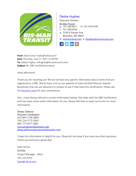

# Deidre Hughes

Executive Director

**Bis-Man Transit**

p: 701.258.6817 m: 701.516.0193

- f: 701.258.6752
- a: 3750 E Rosser Ave Bismarck, ND 58501

w: [bismantransit.com](mailto:bismantransit.com) e: [dhughes@bismantransit.com](mailto:dhughes@bismantransit.com)



**From:** Katie Schulz <katie@ctbnd.com> **Sent:** Thursday, June 17, 2021 12:58 PM **To:** Deidre Hughes <dhughes@bismantransit.com> **Subject:** Re: DBE Certified Businesses

Good afternoon!

Thank you for reaching out! We do not have any specific information about clients that are registered as a DBE. We do have a list on our website of state Certified Woman-Owned Businesses that you are welcome to contact to see if they have this certification. Please see the [directory here](https://www.ndwbc.com/women-owned-business-directory) for your convenience.

Also, I have Denae Johnson's contact information below. She helps with the DBE Certification and may have some useful information for you. Please feel free to reach out to her for more information.

Denae Johnson Projects Coordinator *612-605-1736 (MN) 701-214-5775 (ND) 605-737-0377 (SD) [www.projectsolutionsinc.com](http://www.projectsolutionsinc.com/)* [denae.johnson@projectsolutionsinc.com](mailto:denae.johnson@projectsolutionsinc.com)

I hope this information is helpful for you. Please let me know if you have any other questions. Thank you and have a great day!

Katie Schulz NDWBC Project Manager - West 701-223-0707 [katie@ctbnd.com](mailto:katie@ctbnd.com)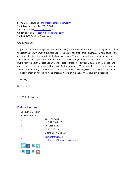**From:** Deidre Hughes [<dhughes@bismantransit.com](mailto:dhughes@bismantransit.com)> **Sent:** Monday, June 14, 2021 3:24 PM To: CTBND Info [<info@ctbnd.com](mailto:info@ctbnd.com)> **Cc:** Taylor Kitzan [<tkitzan@bismantransit.com](mailto:tkitzan@bismantransit.com)> **Subject:** DBE Certified Businesses

Good afternoon,

As part of our Disadvantaged Business Enterprise (DBE) effort, we are reaching out to groups such as the North Dakota Women's Business Center. DBEs are for-profit small businesses where socially and economically disadvantaged individuals own at least a 51% interest and also control management and daily business operations. We are interested in knowing if any of the members are certified DBE's with the North Dakota Department of Transportation. If any are DBE, could you please send me a list of the businesses and what service(s) they provide? We appreciate any assistance you are able to provide. If any of the businesses are interested in becoming DBE's I do have information and can direct them on how to start the process. Please let me know if you have any questions.

Sincerely,

Deidre Hughes

<< RTF: Rich object >>

# Deidre Hughes

 $2$  in  $2$   $\sigma$ 

| Executive Director     |                                                   |
|------------------------|---------------------------------------------------|
| <b>Bis-Man Transit</b> |                                                   |
| p:                     | 701.258.6817<br>m: 701.516.0193                   |
| f:                     | 701.258.6752                                      |
| a:                     | 3750 E Rosser Ave                                 |
|                        | Bismarck, ND 58501                                |
| W:                     | bismantransit.com<br>e: dhughes@bismantransit.com |
|                        |                                                   |
|                        |                                                   |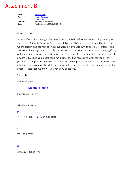# Attachment B

| From:    | <b>Deidre Hughes</b>             |
|----------|----------------------------------|
| To:      | bmaxon@uttc.edu                  |
| Cc:      | <b>Taylor Kitzan</b>             |
| Subject: | <b>DBE Certified Businesses</b>  |
| Date:    | Monday, June 14, 2021 3:29:00 PM |
|          |                                  |

Good afternoon,

As part of our Disadvantaged Business Enterprise (DBE) effort, we are reaching out to groups such as the Minority Business Development Agency. DBEs are for-profit small businesses where socially and economically disadvantaged individuals own at least a 51% interest and also control management and daily business operations. We are interested in knowing if any of the members are certified DBE's with the North Dakota Department of Transportation. If any are DBE, could you please send me a list of the businesses and what service(s) they provide? We appreciate any assistance you are able to provide. If any of the businesses are interested in becoming DBE's I do have information and can direct them on how to start the process. Please let me know if you have any questions.

Sincerely,

Deidre Hughes

# Deidre Hughes

Executive Director

# **Bis-Man Transit**

p:

701.258.6817 m: 701.516.0193

# f:

701.258.6752

# a:

3750 E Rosser Ave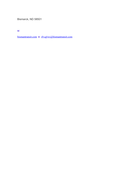Bismarck, ND 58501

w:

[bismantransit.com](mailto:bismantransit.com) e: dhughes[@bismantransit.com](mailto:dhughes@bismantransit.com)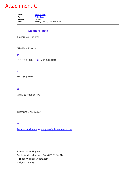# Attachment C

From: [Deidre Hughes](mailto:dhughes@bismantransit.com) **To:** [Taylor Kitzan](mailto:tkitzan@bismantransit.com) **Subject:** FW: Inquiry **Date:** Monday, June 21, 2021 2:02:14 PM

# Deidre Hughes

Executive Director

# **Bis-Man Transit**

p:

701.258.6817 m: 701.516.0193

# f:

701.258.6752

# a:

3750 E Rosser Ave

Bismarck, ND 58501

# w:

[bismantransit.com](mailto:bismantransit.com) e: dhughes[@bismantransit.com](mailto:dhughes@bismantransit.com)

\_\_\_\_\_\_\_\_\_\_\_\_\_\_\_\_\_\_\_\_\_\_\_\_\_\_\_\_\_\_\_\_\_\_\_\_\_\_\_\_\_\_\_\_\_

**From:** Deidre Hughes **Sent:** Wednesday, June 16, 2021 11:37 AM **To:** dbe@lesliesaunders.com **Subject:** Inquiry